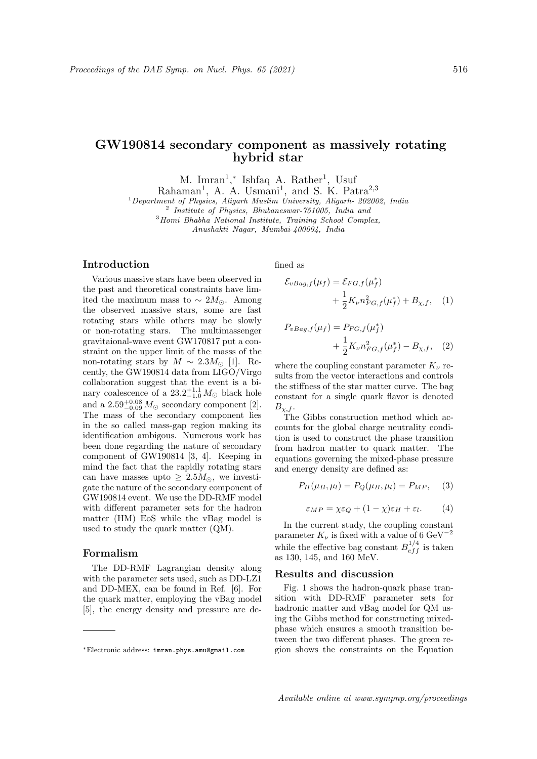# GW190814 secondary component as massively rotating hybrid star

M. Imran<sup>1</sup>,\* Ishfaq A. Rather<sup>1</sup>, Usuf

Rahaman<sup>1</sup>, A. A. Usmani<sup>1</sup>, and S. K. Patra<sup>2,3</sup>

<sup>1</sup>Department of Physics, Aligarh Muslim University, Aligarh- 202002, India

2 Institute of Physics, Bhubaneswar-751005, India and

 $3$ Homi Bhabha National Institute, Training School Complex,

Anushakti Nagar, Mumbai-400094, India

## Introduction

Various massive stars have been observed in the past and theoretical constraints have limited the maximum mass to  $\sim 2M_{\odot}$ . Among the observed massive stars, some are fast rotating stars while others may be slowly or non-rotating stars. The multimassenger gravitaional-wave event GW170817 put a constraint on the upper limit of the masss of the non-rotating stars by  $M \sim 2.3 M_{\odot}$  [1]. Recently, the GW190814 data from LIGO/Virgo collaboration suggest that the event is a binary coalescence of a  $23.2^{+1.1}_{-1.0} M_{\odot}$  black hole and a  $2.59_{-0.09}^{+0.08} M_{\odot}$  secondary component [2]. The mass of the secondary component lies in the so called mass-gap region making its identification ambigous. Numerous work has been done regarding the nature of secondary component of GW190814 [3, 4]. Keeping in mind the fact that the rapidly rotating stars can have masses upto  $\geq 2.5M_{\odot}$ , we investigate the nature of the secondary component of GW190814 event. We use the DD-RMF model with different parameter sets for the hadron matter (HM) EoS while the vBag model is used to study the quark matter (QM).

## Formalism

The DD-RMF Lagrangian density along with the parameter sets used, such as DD-LZ1 and DD-MEX, can be found in Ref. [6]. For the quark matter, employing the vBag model [5], the energy density and pressure are defined as

$$
\mathcal{E}_{vBag,f}(\mu_f) = \mathcal{E}_{FG,f}(\mu_f^*)
$$
  
+ 
$$
\frac{1}{2}K_{\nu}n_{FG,f}^2(\mu_f^*) + B_{\chi,f}, \quad (1)
$$

$$
P_{vBag,f}(\mu_f) = P_{FG,f}(\mu_f^*)
$$
  
+  $\frac{1}{2}K_{\nu}n_{FG,f}^2(\mu_f^*) - B_{\chi,f},$  (2)

where the coupling constant parameter  $K_{\nu}$  results from the vector interactions and controls the stiffness of the star matter curve. The bag constant for a single quark flavor is denoted  $B_{\chi,f}.$ 

The Gibbs construction method which accounts for the global charge neutrality condition is used to construct the phase transition from hadron matter to quark matter. The equations governing the mixed-phase pressure and energy density are defined as:

$$
P_H(\mu_B, \mu_l) = P_Q(\mu_B, \mu_l) = P_{MP}, \quad (3)
$$

$$
\varepsilon_{MP} = \chi \varepsilon_Q + (1 - \chi)\varepsilon_H + \varepsilon_l. \tag{4}
$$

In the current study, the coupling constant parameter  $K_{\nu}$  is fixed with a value of 6 GeV<sup>-2</sup> while the effective bag constant  $B_{eff}^{1/4}$  is taken as 130, 145, and 160 MeV.

### Results and discussion

Fig. 1 shows the hadron-quark phase transition with DD-RMF parameter sets for hadronic matter and vBag model for QM using the Gibbs method for constructing mixedphase which ensures a smooth transition between the two different phases. The green region shows the constraints on the Equation

<sup>∗</sup>Electronic address: imran.phys.amu@gmail.com